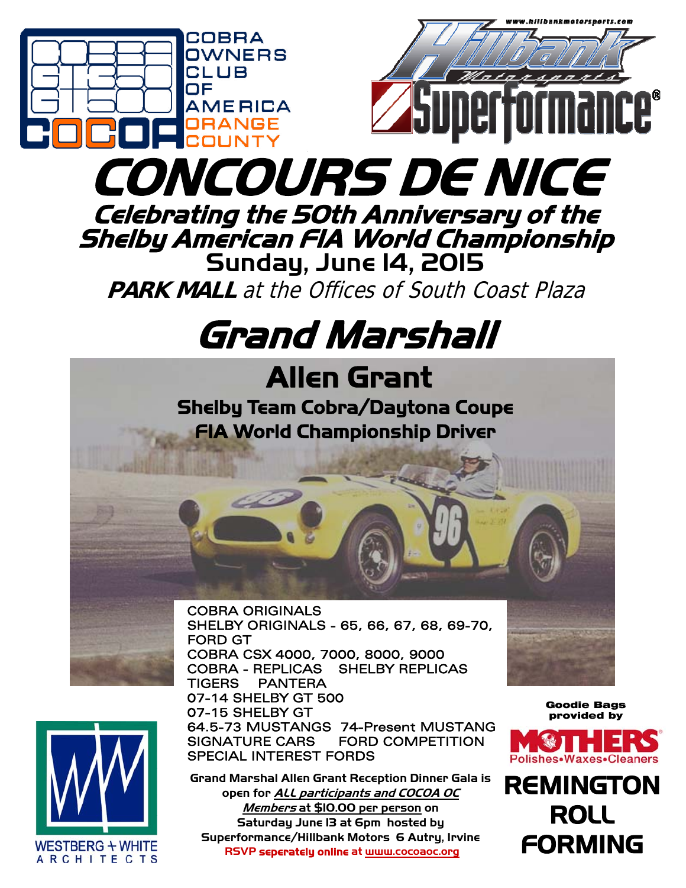



 SIGNATURE CARS FORD COMPETITION SPECIAL INTEREST FORDS

**Grand Marshal Allen Grant Reception Dinner Gala is open for ALL participants and COCOA OC Members at \$10.00 per person on Saturday June 13 at 6pm hosted by Superformance/Hillbank Motors 6 Autry, Irvine RSVP seperately online at www.cocoaoc.org** 



**REMINGTON** ROLL FORMING